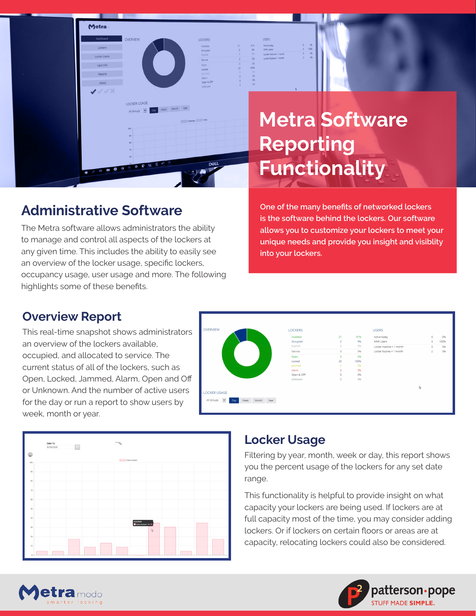

## **Administrative Software**

Metra

OVERVIEW

LOCKER USAGE

Grouns V

Day Week Month Year

**LOCKER** 

Available<br>Occupied<br>Expired<br>Service<br>Open<br>Locked

The Metra software allows administrators the ability to manage and control all aspects of the lockers at any given time. This includes the ability to easily see an overview of the locker usage, specific lockers, occupancy usage, user usage and more. The following highlights some of these benefits.

**One of the many benefits of networked lockers is the software behind the lockers. Our software allows you to customize your lockers to meet your unique needs and provide you insight and visiblity into your lockers.** 

#### **Overview Report**

This real-time snapshot shows administrators an overview of the lockers available, occupied, and allocated to service. The current status of all of the lockers, such as Open, Locked, Jammed, Alarm, Open and Off or Unknown. And the number of active users for the day or run a report to show users by week, month or year.





#### **Locker Usage**

Filtering by year, month, week or day, this report shows you the percent usage of the lockers for any set date range.

This functionality is helpful to provide insight on what capacity your lockers are being used. If lockers are at full capacity most of the time, you may consider adding lockers. Or if lockers on certain floors or areas are at capacity, relocating lockers could also be considered.